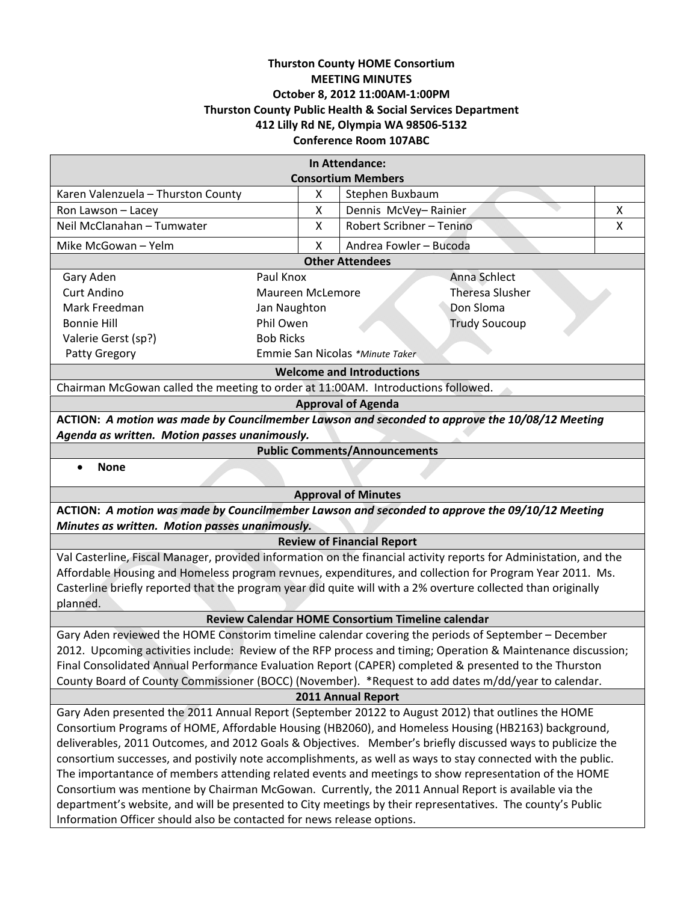# **Thurston County HOME Consortium MEETING MINUTES October 8, 2012 11:00AM‐1:00PM Thurston County Public Health & Social Services Department 412 Lilly Rd NE, Olympia WA 98506‐5132 Conference Room 107ABC**

| In Attendance:                                                                                                    |                                   |                                                                                                              |
|-------------------------------------------------------------------------------------------------------------------|-----------------------------------|--------------------------------------------------------------------------------------------------------------|
| <b>Consortium Members</b>                                                                                         |                                   |                                                                                                              |
| Karen Valenzuela - Thurston County                                                                                | X                                 | Stephen Buxbaum                                                                                              |
| Ron Lawson - Lacey                                                                                                | X                                 | Dennis McVey-Rainier<br>X                                                                                    |
| Neil McClanahan - Tumwater                                                                                        | X                                 | Robert Scribner - Tenino<br>Χ                                                                                |
| Mike McGowan - Yelm                                                                                               | X                                 | Andrea Fowler - Bucoda                                                                                       |
| <b>Other Attendees</b>                                                                                            |                                   |                                                                                                              |
| Gary Aden                                                                                                         | Anna Schlect<br>Paul Knox         |                                                                                                              |
| <b>Curt Andino</b>                                                                                                | <b>Maureen McLemore</b>           | <b>Theresa Slusher</b>                                                                                       |
| Mark Freedman<br>Jan Naughton                                                                                     |                                   | Don Sloma                                                                                                    |
| <b>Bonnie Hill</b>                                                                                                | Phil Owen<br><b>Trudy Soucoup</b> |                                                                                                              |
| Valerie Gerst (sp?)                                                                                               | <b>Bob Ricks</b>                  |                                                                                                              |
| Patty Gregory<br>Emmie San Nicolas *Minute Taker                                                                  |                                   |                                                                                                              |
| <b>Welcome and Introductions</b>                                                                                  |                                   |                                                                                                              |
| Chairman McGowan called the meeting to order at 11:00AM. Introductions followed.                                  |                                   |                                                                                                              |
| <b>Approval of Agenda</b>                                                                                         |                                   |                                                                                                              |
| ACTION: A motion was made by Councilmember Lawson and seconded to approve the 10/08/12 Meeting                    |                                   |                                                                                                              |
| Agenda as written. Motion passes unanimously.                                                                     |                                   |                                                                                                              |
| <b>Public Comments/Announcements</b>                                                                              |                                   |                                                                                                              |
| <b>None</b><br>$\bullet$                                                                                          |                                   |                                                                                                              |
| <b>Approval of Minutes</b>                                                                                        |                                   |                                                                                                              |
| ACTION: A motion was made by Councilmember Lawson and seconded to approve the 09/10/12 Meeting                    |                                   |                                                                                                              |
| Minutes as written. Motion passes unanimously.                                                                    |                                   |                                                                                                              |
| <b>Review of Financial Report</b>                                                                                 |                                   |                                                                                                              |
| Val Casterline, Fiscal Manager, provided information on the financial activity reports for Administation, and the |                                   |                                                                                                              |
| Affordable Housing and Homeless program revnues, expenditures, and collection for Program Year 2011. Ms.          |                                   |                                                                                                              |
| Casterline briefly reported that the program year did quite will with a 2% overture collected than originally     |                                   |                                                                                                              |
| planned.                                                                                                          |                                   |                                                                                                              |
| Review Calendar HOME Consortium Timeline calendar                                                                 |                                   |                                                                                                              |
| Gary Aden reviewed the HOME Constorim timeline calendar covering the periods of September - December              |                                   |                                                                                                              |
|                                                                                                                   |                                   | 2012. Upcoming activities include: Review of the RFP process and timing; Operation & Maintenance discussion; |
| Final Consolidated Annual Performance Evaluation Report (CAPER) completed & presented to the Thurston             |                                   |                                                                                                              |
| County Board of County Commissioner (BOCC) (November). *Request to add dates m/dd/year to calendar.               |                                   |                                                                                                              |
|                                                                                                                   |                                   | 2011 Annual Report                                                                                           |
| Gary Aden presented the 2011 Annual Report (September 20122 to August 2012) that outlines the HOME                |                                   |                                                                                                              |
| Consortium Programs of HOME, Affordable Housing (HB2060), and Homeless Housing (HB2163) background,               |                                   |                                                                                                              |
| deliverables, 2011 Outcomes, and 2012 Goals & Objectives. Member's briefly discussed ways to publicize the        |                                   |                                                                                                              |
| consortium successes, and postivily note accomplishments, as well as ways to stay connected with the public.      |                                   |                                                                                                              |
| The importantance of members attending related events and meetings to show representation of the HOME             |                                   |                                                                                                              |
| Consortium was mentione by Chairman McGowan. Currently, the 2011 Annual Report is available via the               |                                   |                                                                                                              |
| department's website, and will be presented to City meetings by their representatives. The county's Public        |                                   |                                                                                                              |
| Information Officer should also be contacted for news release options.                                            |                                   |                                                                                                              |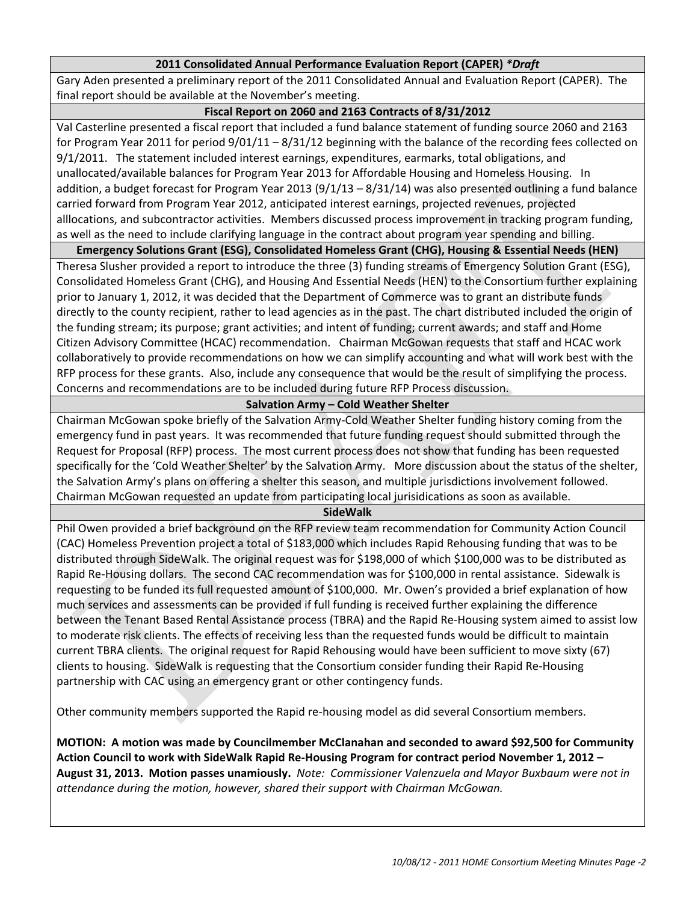# **2011 Consolidated Annual Performance Evaluation Report (CAPER)** *\*Draft*

Gary Aden presented a preliminary report of the 2011 Consolidated Annual and Evaluation Report (CAPER). The final report should be available at the November's meeting.

# **Fiscal Report on 2060 and 2163 Contracts of 8/31/2012**

Val Casterline presented a fiscal report that included a fund balance statement of funding source 2060 and 2163 for Program Year 2011 for period 9/01/11 – 8/31/12 beginning with the balance of the recording fees collected on 9/1/2011. The statement included interest earnings, expenditures, earmarks, total obligations, and unallocated/available balances for Program Year 2013 for Affordable Housing and Homeless Housing. In addition, a budget forecast for Program Year 2013 (9/1/13 – 8/31/14) was also presented outlining a fund balance carried forward from Program Year 2012, anticipated interest earnings, projected revenues, projected alllocations, and subcontractor activities. Members discussed process improvement in tracking program funding, as well as the need to include clarifying language in the contract about program year spending and billing.

**Emergency Solutions Grant (ESG), Consolidated Homeless Grant (CHG), Housing & Essential Needs (HEN)**

Theresa Slusher provided a report to introduce the three (3) funding streams of Emergency Solution Grant (ESG), Consolidated Homeless Grant (CHG), and Housing And Essential Needs (HEN) to the Consortium further explaining prior to January 1, 2012, it was decided that the Department of Commerce was to grant an distribute funds directly to the county recipient, rather to lead agencies as in the past. The chart distributed included the origin of the funding stream; its purpose; grant activities; and intent of funding; current awards; and staff and Home Citizen Advisory Committee (HCAC) recommendation. Chairman McGowan requests that staff and HCAC work collaboratively to provide recommendations on how we can simplify accounting and what will work best with the RFP process for these grants. Also, include any consequence that would be the result of simplifying the process. Concerns and recommendations are to be included during future RFP Process discussion.

# **Salvation Army – Cold Weather Shelter**

Chairman McGowan spoke briefly of the Salvation Army‐Cold Weather Shelter funding history coming from the emergency fund in past years. It was recommended that future funding request should submitted through the Request for Proposal (RFP) process. The most current process does not show that funding has been requested specifically for the 'Cold Weather Shelter' by the Salvation Army. More discussion about the status of the shelter, the Salvation Army's plans on offering a shelter this season, and multiple jurisdictions involvement followed. Chairman McGowan requested an update from participating local jurisidications as soon as available.

#### **SideWalk**

Phil Owen provided a brief background on the RFP review team recommendation for Community Action Council (CAC) Homeless Prevention project a total of \$183,000 which includes Rapid Rehousing funding that was to be distributed through SideWalk. The original request was for \$198,000 of which \$100,000 was to be distributed as Rapid Re‐Housing dollars. The second CAC recommendation was for \$100,000 in rental assistance. Sidewalk is requesting to be funded its full requested amount of \$100,000. Mr. Owen's provided a brief explanation of how much services and assessments can be provided if full funding is received further explaining the difference between the Tenant Based Rental Assistance process (TBRA) and the Rapid Re‐Housing system aimed to assist low to moderate risk clients. The effects of receiving less than the requested funds would be difficult to maintain current TBRA clients. The original request for Rapid Rehousing would have been sufficient to move sixty (67) clients to housing. SideWalk is requesting that the Consortium consider funding their Rapid Re‐Housing partnership with CAC using an emergency grant or other contingency funds.

Other community members supported the Rapid re‐housing model as did several Consortium members.

**MOTION: A motion was made by Councilmember McClanahan and seconded to award \$92,500 for Community** Action Council to work with SideWalk Rapid Re-Housing Program for contract period November 1, 2012 -**August 31, 2013. Motion passes unamiously.** *Note: Commissioner Valenzuela and Mayor Buxbaum were not in attendance during the motion, however, shared their support with Chairman McGowan.*